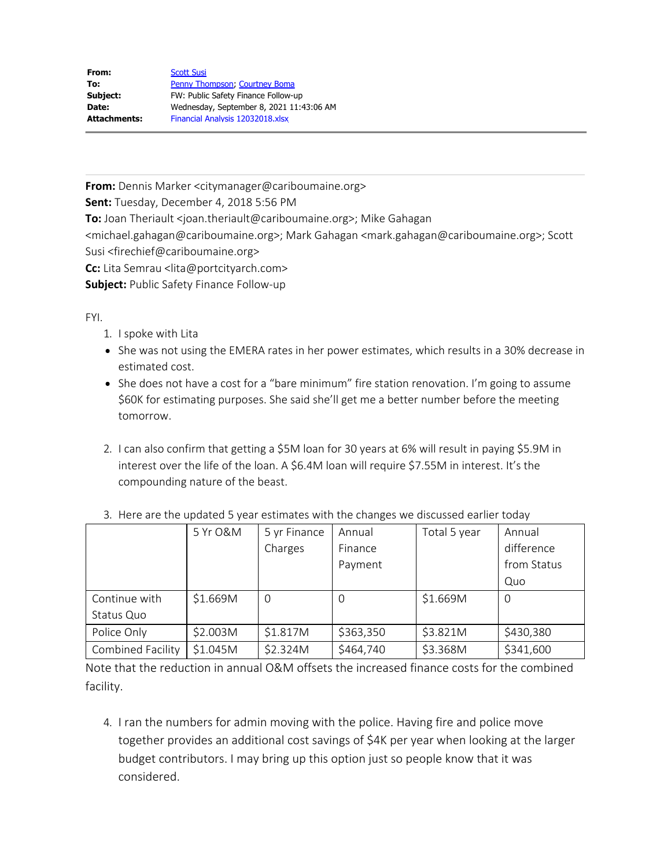| From:               | <b>Scott Susi</b>                        |  |  |  |
|---------------------|------------------------------------------|--|--|--|
| To:                 | Penny Thompson, Courtney Boma            |  |  |  |
| Subject:            | FW: Public Safety Finance Follow-up      |  |  |  |
| Date:               | Wednesday, September 8, 2021 11:43:06 AM |  |  |  |
| <b>Attachments:</b> | Financial Analysis 12032018.xlsx         |  |  |  |

**From:** Dennis Marker <citymanager@cariboumaine.org>

**Sent:** Tuesday, December 4, 2018 5:56 PM

**To:** Joan Theriault <joan.theriault@cariboumaine.org>; Mike Gahagan

<michael.gahagan@cariboumaine.org>; Mark Gahagan <mark.gahagan@cariboumaine.org>; Scott Susi <firechief@cariboumaine.org>

**Cc:** Lita Semrau <lita@portcityarch.com>

**Subject:** Public Safety Finance Follow-up

FYI.

- 1. I spoke with Lita
- She was not using the EMERA rates in her power estimates, which results in a 30% decrease in estimated cost.
- She does not have a cost for a "bare minimum" fire station renovation. I'm going to assume \$60K for estimating purposes. She said she'll get me a better number before the meeting tomorrow.
- 2. I can also confirm that getting a \$5M loan for 30 years at 6% will result in paying \$5.9M in interest over the life of the loan. A \$6.4M loan will require \$7.55M in interest. It's the compounding nature of the beast.

|                   | 5 Yr O&M | 5 yr Finance | Annual    | Total 5 year | Annual      |
|-------------------|----------|--------------|-----------|--------------|-------------|
|                   |          | Charges      | Finance   |              | difference  |
|                   |          |              | Payment   |              | from Status |
|                   |          |              |           |              | Quo         |
| Continue with     | \$1.669M | $\Omega$     | 0         | \$1.669M     | O           |
| Status Quo        |          |              |           |              |             |
| Police Only       | \$2.003M | \$1.817M     | \$363,350 | \$3.821M     | \$430,380   |
| Combined Facility | \$1.045M | \$2.324M     | \$464,740 | \$3.368M     | \$341,600   |

## 3. Here are the updated 5 year estimates with the changes we discussed earlier today

Note that the reduction in annual O&M offsets the increased finance costs for the combined facility.

4. I ran the numbers for admin moving with the police. Having fire and police move together provides an additional cost savings of \$4K per year when looking at the larger budget contributors. I may bring up this option just so people know that it was considered.